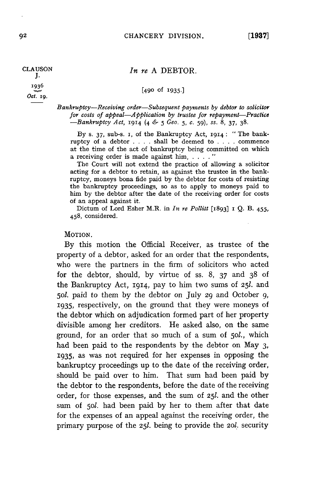1936 *Oct.* 19.

CLAUSON *In re* A DEBTOR.

*-^* [490 of I935-]

*Bankruptcy*—*Receiving order*—*Subsequent payments by debtor to solicitor for costs of appeal*—*Application by trustee for repayment*—*Practice*  —*Bankruptcy Act,* 1914 (4 <S- 5 *Geo.* 5, c. 59), *ss.* 8, 37, 38.

By s. 37, sub-s. 1, of the Bankruptcy Act, 1914 : " The bankruptcy of a debtor ... . shall be deemed to .. . . commence at the time of the act of bankruptcy being committed on which a receiving order is made against him, . . . . "

The Court will not extend the practice of allowing a solicitor acting for a debtor to retain, as against the trustee in the bankruptcy, moneys bona fide paid by the debtor for costs of resisting the bankruptcy proceedings, so as to apply to moneys paid to him by the debtor after the date of the receiving order for costs of an appeal against it.

Dictum of Lord Esher M.R. in *In re Pollitt* [1893] 1 Q. B. 455, 458, considered.

## MOTION.

By this motion the Official Receiver, as trustee of the property of a debtor, asked for an order that the respondents, who were the partners in the firm of solicitors who acted for the debtor, should, by virtue of ss. 8, 37 and 38 of the Bankruptcy Act, 1914, pay to him two sums of  $25l$ . and 50/. paid to them by the debtor on July 29 and October 9, 1935, respectively, on the ground that they were moneys of the debtor which on adjudication formed part of her property divisible among her creditors. He asked also, on the same ground, for an order that so much of a sum of 50/., which had been paid to the respondents by the debtor on May 3, 1935, as was not required for her expenses in opposing the bankruptcy proceedings up to the date of the receiving order, should be paid over to him. That sum had been paid by the debtor to the respondents, before the date of the receiving order, for those expenses, and the sum of 25l. and the other sum of 50/. had been paid by her to them after that date for the expenses of an appeal against the receiving order, the primary purpose of the 25/. being to provide the 20/. security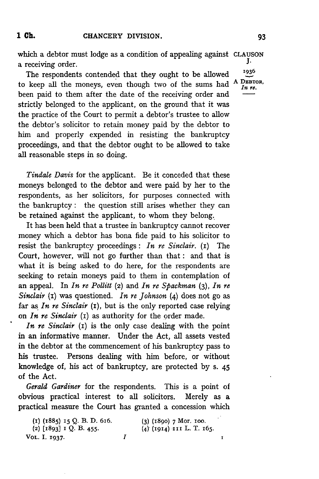which a debtor must lodge as a condition of appealing against **CLAUSON**  a receiving order. J-**1936** 

The respondents contended that they ought to be allowed to keep all the moneys, even though two of the sums had been paid to them after the date of the receiving order and strictly belonged to the applicant, on the ground that it was the practice of the Court to permit a debtor's trustee to allow the debtor's solicitor to retain money paid by the debtor to him and properly expended in resisting the bankruptcy proceedings, and that the debtor ought to be allowed to take all reasonable steps in so doing. **A DEBTOR,** 

*Tindale Davis* for the applicant. Be it conceded that these moneys belonged to the debtor and were paid by her to the respondents, as her solicitors, for purposes connected with the bankruptcy : the question still arises whether they can be retained against the applicant, to whom they belong.

It has been held that a trustee in bankruptcy cannot recover money which a debtor has bona fide paid to his solicitor to resist the bankruptcy proceedings : *In re Sinclair,* (i) The Court, however, will not go further than that: and that is what it is being asked to do here, for the respondents are seeking to retain moneys paid to them in contemplation of an appeal. In *In re Pollitt* (2) and *In re Spackman* (3), *In re Sinclair* (1) was questioned. *In re Johnson* (4) does not go as far as *In re Sinclair* (1), but is the only reported case relying on *In re Sinclair* (1) as authority for the order made.

*In re Sinclair* (1) is the only case dealing with the point in an informative manner. Under the Act, all assets vested in the debtor at the commencement of his bankruptcy pass to his trustee. Persons dealing with him before, or without knowledge of, his act of bankruptcy, are protected by s. 45 of the Act.

*Gerald Gardiner* for the respondents. This is a point of obvious practical interest to all solicitors. Merely as a practical measure the Court has granted a concession which

**(1) (1885) 15** *Q.* **B. D. 616. (3) (1890) 7 Mor. 100. (2) [1893] 1 Q. B. 455. (4) (1914) i n L. T. 165. VOL. I. 1937.** *I**I*  *In re.*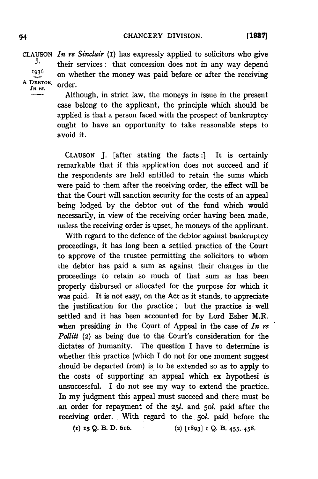**CHANCERY DIVISION.** [1937]

 $CLAUSON$  *In re Sinclair* (1) has expressly applied to solicitors who give Τ. their services: that concession does not in any way depend 1936 on whether the money was paid before or after the receiving A DEBTOR, order. In re.

Although, in strict law, the moneys in issue in the present case belong to the applicant, the principle which should be applied is that a person faced with the prospect of bankruptcy ought to have an opportunity to take reasonable steps to avoid it.

CLAUSON J. [after stating the facts:] It is certainly remarkable that if this application does not succeed and if the respondents are held entitled to retain the sums which were paid to them after the receiving order, the effect will be that the Court will sanction security for the costs of an appeal being lodged by the debtor out of the fund which would necessarily, in view of the receiving order having been made, unless the receiving order is upset, be moneys of the applicant.

With regard to the defence of the debtor against bankruptcy proceedings, it has long been a settled practice of the Court to approve of the trustee permitting the solicitors to whom the debtor has paid a sum as against their charges in the proceedings to retain so much of that sum as has been properly disbursed or allocated for the purpose for which it was paid. It is not easy, on the Act as it stands, to appreciate the justification for the practice; but the practice is well settled and it has been accounted for by Lord Esher M.R. when presiding in the Court of Appeal in the case of *In re Pollitt* (2) as being due to the Court's consideration for the dictates of humanity. The question I have to determine is whether this practice (which I do not for one moment suggest should be departed from) is to be extended so as to apply to the costs of supporting an appeal which ex hypothesi is unsuccessful. I do not see my way to extend the practice. In my judgment this appeal must succeed and there must be an order for repayment of the 25/. and 50/. paid after the receiving order. With regard to the, 50/. paid before the

(1) 15 Q. B. D. 616. (2)  $[1893]$  I Q. B. 455, 458.